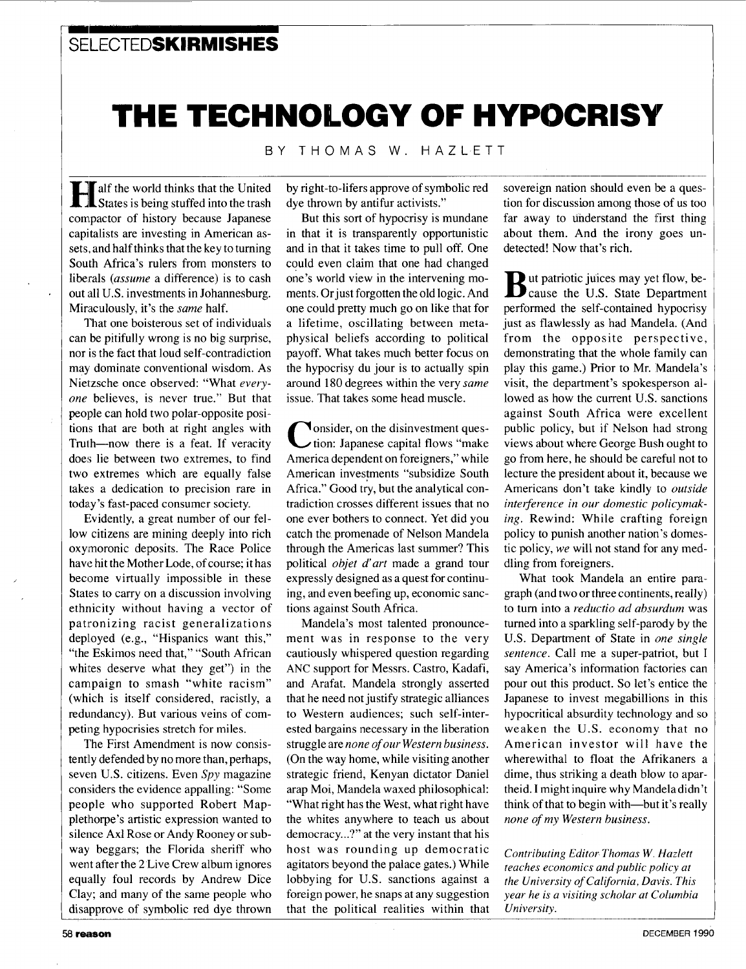### **m'** ' **SELECTEDSKIRMISHES**

# THE TECHNOLOGY OF HYPOCRISY

BY THOMAS W. HAZLETT

alf the world thinks that the United States is being stuffed into the trash compactor of history because Japanese capitalists are investing in American assets, and half thinks that the key to turning South Africa's rulers from monsters to liberals *(assume* a difference) is to cash out **id1** U.S. investments in Johannesburg. Miraculously, it's the *same* half.

That one boisterous set of individuals can be pitifully wrong is no big surprise, nor is the fact that loud self-contradiction may dominate conventional wisdom. As Nietzsche once observed: "What every*one* believes, is never true." But that people can hold two polar-opposite positions that are both at right angles with Truth-now there is a feat. If veracity does lie between two extremes, to find two extremes which are equally false takes a dedication to precision rare in today's fast-paced consumer society.

Evidently, a great number of our fellow citizens are mining deeply into rich oxymoronic deposits. The Race Police have hit the Mother Lode, of course; it has become virtually impossible in these States to carry on a discussion involving ethnicity without having a vector of patronizing racist generalizations deployed (e.g., "Hispanics want this," "the Eskimos need that," "South African whites deserve what they get") in the campaign to smash "white racism" (which is itself considered, racistly, a redundancy). But various veins of competing hypocrisies stretch for miles.

The First Amendment is now consistentlly defended by no more than, perhaps, seven **U.S.** citizens. Even *Spy* magazine considers the evidence appalling: "Some people who supported Robert Mappletlhorpe's artistic expression wanted to silence Ax1 Rose or Andy Rooney or subway beggars; the Florida sheriff who went after the 2 Live Crew album ignores equally foul records by Andrew Dice Clay; and many of the same people who disapprove of symbolic red dye thrown by right-to-lifers approve of symbolic red dye thrown by antifur activists."

But this sort of hypocrisy is mundane in that it is transparently opportunistic and in that it takes time to pull off. One could even claim that one had changed one's world view in the intervening moments. Orjust forgotten the old logic. And one could pretty much go on like that for a lifetime, oscillating between metaphysical beliefs according to political payoff. What takes much better focus on the hypocrisy du jour is to actually spin around 180 degrees within the very same issue. That takes some head muscle.

**V**onsider, on the disinvestment ques-<br>ition: Japanese capital flows "make America dependent on foreigners," while American investments "subsidize South Africa." Good try, but the analytical contradiction crosses different issues that no one ever bothers to connect. Yet did you catch the promenade of Nelson Mandela through the Americas last summer? This political *objet d'art* made a grand tour expressly designed as a quest for continuing, and even beefing up, economic sanctions against South Africa.

Mandela's most talented pronouncement was in response to the very cautiously whispered question regarding **ANC** support for Messrs. Castro, Kadafi, and Arafat. Mandela strongly asserted that he need not justify strategic alliances to Western audiences; such self-interested bargains necessary in the liberation struggle are *none of our Western business.*  (On the way home, while visiting another strategic friend, Kenyan dictator Daniel arap Moi, Mandela waxed philosophical: "What right has the West, what right have the whites anywhere to teach us about democracy...?" at the very instant that his host was rounding up democratic agitators beyond the palace gates.) While lobbying for **U.S.** sanctions against a foreign power, he snaps at any suggestion that the political realities within that sovereign nation should even be a question for discussion among those of us too far away to understand the first thing about them. And the irony goes undetected! Now that's rich.

**B**ut patriotic juices may yet flow, be-<br>**B** cause the U.S. State Department performed the self-contained hypocrisy just as flawlessly as had Mandela. (And from the opposite perspective, demonstrating that the whole family can play this game.) Prior to Mr. Mandela's visit, the department's spokesperson allowed as how the current **U.S.** sanctions against South Africa were excellent public policy, but if Nelson had strong views about where George Bush ought to go from here, he should be careful not to lecture the president about it, because we Americans don't take kindly to *outside interference in our domestic policymaking.* Rewind: While crafting foreign policy to punish another nation's domestic policy, *we* will not stand for any meddling from foreigners.

What took Mandela an entire paragraph (and two or three continents, really) to turn into a *reductio ad absurdum* was turned into a sparkling self-parody by the **U.S.** Department of State in *one single sentence.* Call me a super-patriot, but I say America's information factories can pour out this product. So let's entice the Japanese to invest megabillions in this hypocritical absurdity technology and so weaken the **U.S.** economy that no American investor will have the wherewithal to float the Afrikaners a dime, thus striking a death blow to apartheid. **I** might inquire why Mandeladidn't think of that to begin with—but it's really *none of my Western business.* 

*Contributing Editor Thomas W. Hazlett teaches economics and public policy at the University of California, Davis. This year he is a visiting scholar at Columbia University.*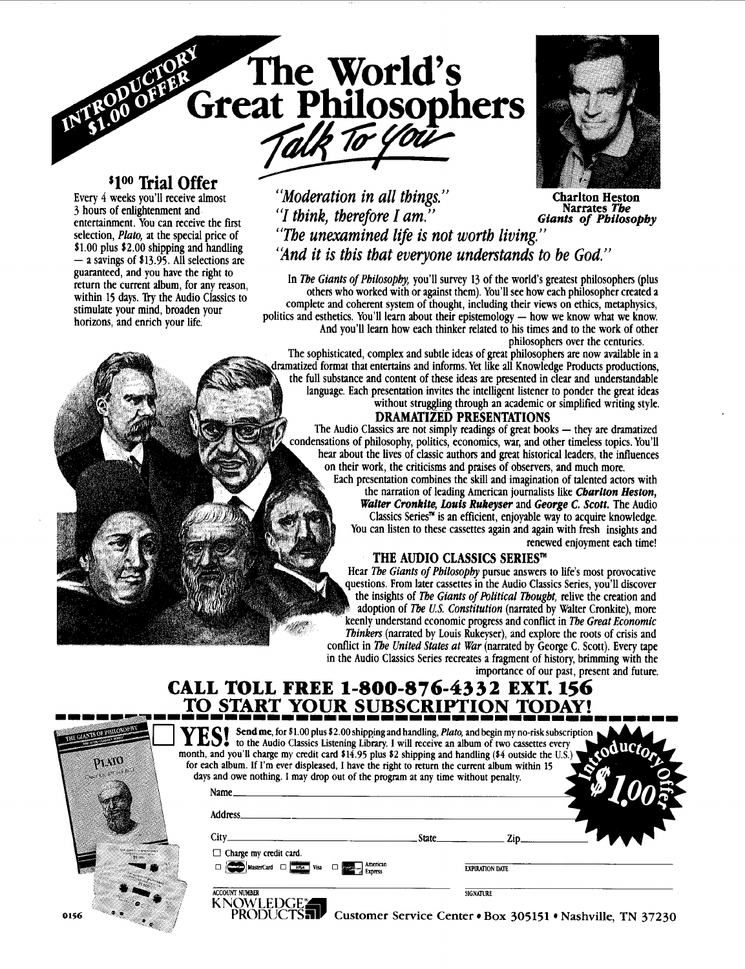# **<sup>\$100</sup> Trial Offer** Every 4 weeks you'll receive almost

entertainment. You can receive the first<br>selection, *Plato*, at the special price of guaranteed, and you have the right to return the current album, **for** any reason, within 15 days. Try the Audio Classics to<br>stimulate your mind, broaden your horizons, and enrich your life.

### Every 4 weeks you'll receive almost<br>
3 hours of enlightenment and<br>
<sup>1</sup> *(1 thinh*, thangfore I am<sup>3)</sup> "I *think, therefore I am.*" **Charlton Heston Narrates 7'be**  *Giants* **of** *Pbilosopby*  selection, *Plato*, at the special price of *"The unexamined life is not worth living."*<br>\$1.00 plus \$2.00 shipping and handling *and it is this that exergence we denoted* to **\$1.00 plus \$2.00 shipping and handling interpretation is that everyone understands to be God."**  $-$  a savings of \$13.95. All selections are

The World's<br>Great Philosophers

In The Giants of Philosophy, you'll survey 13 of the world's greatest philosophers (plus others who worked with or against them). You'll see how each philosopher created a complete and coherent system **of** thought, including their views on ethics, metaphysics, politics and esthetics. You'll learn about their epistemology - how we know what we know. And vou'll learn how each thinker related to his times and to the work **of** other

philosophers over the centuries.<br>The sophisticated, complex and subtle ideas of great philosophers are now available in a dramatized format that entertains and informs. Yet like all Knowledge Products productions, the full substance and content of these ideas are presented in clear and understandable language. Each presentation invites the intelligent listener to ponder the great ideas without struggling through an academic or simplified writing style.

**The Audio Classics are not simply readings of great books — they are dramatized** condensations of philosophy, politics, economics, war, and other timeless topics. You'll hear about the lives **of** classic authors and great historical leaders, the influences on their work, the criticisms and praises **of** observers, and much more.

Each presentation combines the skill and imagination of talented actors with the narration of leading American journalists like *Cbarlton Hesron, Walter Cronkite, Louis Rukeyser* and *George C. Scott.* The Audio Classics Series<sup> $\pi$ </sup> is an efficient, enjoyable way to acquire knowledge. You can listen to these cassettes again and again with fresh insights and renewed enjoyment each time!

### THE AUDIO CLASSICS SERIES™

Hear The Giants of Philosophy pursue answers to life's most provocative questions. From later cassettes in the Audio Classics Series, you'll discover the insights of The Giants of Political Thought, relive the creation and adoption of The U.S. Constitution (narrated by Walter Cronkite), more keenly understand economic progress and conflict in The Great Economic Thinkers (narrated by Louis Rukeyser), and explore the roots of crisis and conflict in The United States at War (narrated by George C. Scott). Every tape in the Audio Classics Series recreates a fragment **of** history, brimming with the importance of our past, present and future.

## **CALL TOLL FREE** *1-800-876-4332* **EX".** *156*  **TO START YOUR SUBSCRIPTION TODAY!**

| w | month, and you'll charge my credit card \$14.95 plus \$2 shipping and handling (\$4 outside the U.S.) \<br>for each album. If I'm ever displeased, I have the right to return the current album within 15<br>days and owe nothing. I may drop out of the program at any time without penalty. |              | YES! Send me, for \$1.00 plus \$2.00 shipping and handling, <i>Plato</i> , and begin my no-risk subscription. The Audio Classics Listening Library. I will receive an album of two cassettes every |  |
|---|-----------------------------------------------------------------------------------------------------------------------------------------------------------------------------------------------------------------------------------------------------------------------------------------------|--------------|----------------------------------------------------------------------------------------------------------------------------------------------------------------------------------------------------|--|
|   | Name_                                                                                                                                                                                                                                                                                         |              |                                                                                                                                                                                                    |  |
|   | <b>Address</b>                                                                                                                                                                                                                                                                                |              |                                                                                                                                                                                                    |  |
|   | $City_$                                                                                                                                                                                                                                                                                       | <b>State</b> | Zip.                                                                                                                                                                                               |  |
|   | $\Box$ Charge my credit card.                                                                                                                                                                                                                                                                 |              |                                                                                                                                                                                                    |  |
|   | $\Box$ MasterCard $\Box$ Visa $\Box$                                                                                                                                                                                                                                                          |              | <b>EXPIRATION DATE</b>                                                                                                                                                                             |  |
|   | <b>ACCOUNT NUMBER</b>                                                                                                                                                                                                                                                                         |              | <b>SIGNATURE</b>                                                                                                                                                                                   |  |